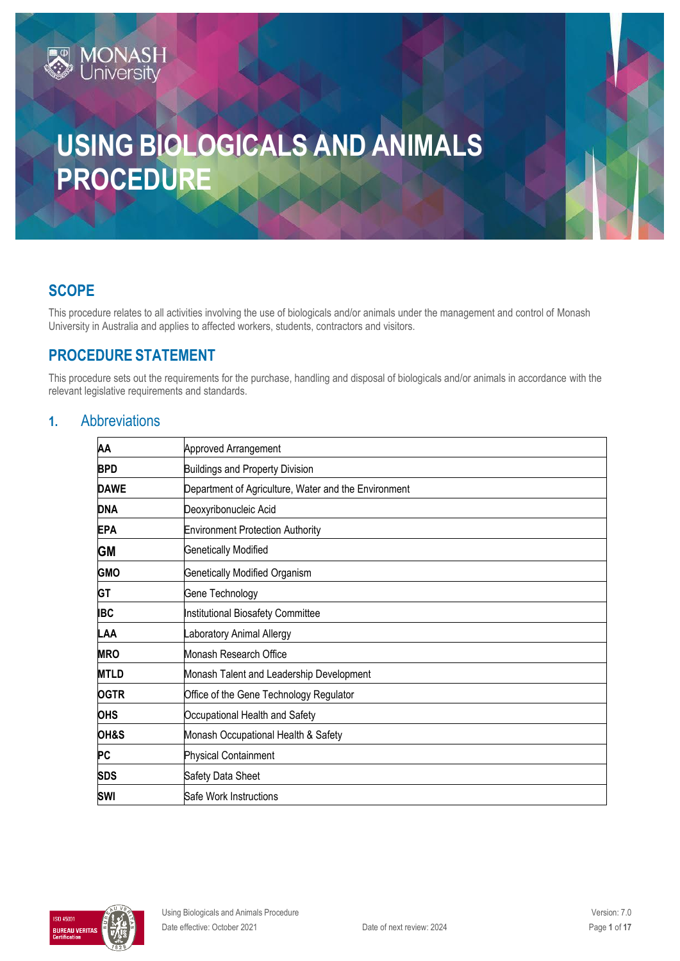# **USING BIOLOGICALS AND ANIMALS PROCEDURE**

# **SCOPE**

This procedure relates to all activities involving the use of biologicals and/or animals under the management and control of Monash University in Australia and applies to affected workers, students, contractors and visitors.

# **PROCEDURE STATEMENT**

**MONASH**<br>University

This procedure sets out the requirements for the purchase, handling and disposal of biologicals and/or animals in accordance with the relevant legislative requirements and standards.

# **1.** Abbreviations

| Approved Arrangement                                 |  |  |
|------------------------------------------------------|--|--|
| <b>Buildings and Property Division</b>               |  |  |
| Department of Agriculture, Water and the Environment |  |  |
| Deoxyribonucleic Acid                                |  |  |
| <b>Environment Protection Authority</b>              |  |  |
| <b>Genetically Modified</b>                          |  |  |
| Genetically Modified Organism                        |  |  |
| Gene Technology                                      |  |  |
| Institutional Biosafety Committee                    |  |  |
| Laboratory Animal Allergy                            |  |  |
| Monash Research Office                               |  |  |
| Monash Talent and Leadership Development             |  |  |
| Office of the Gene Technology Regulator              |  |  |
| Occupational Health and Safety                       |  |  |
| Monash Occupational Health & Safety                  |  |  |
| <b>Physical Containment</b>                          |  |  |
| Safety Data Sheet                                    |  |  |
| Safe Work Instructions                               |  |  |
|                                                      |  |  |

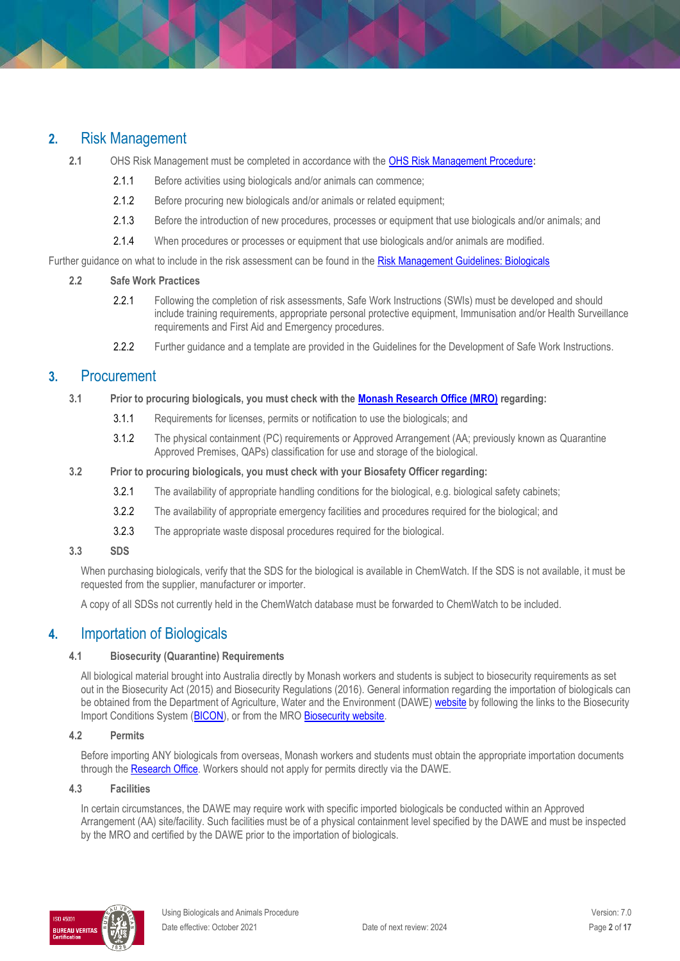# **2.** Risk Management

- **2.1** OHS Risk Management must be completed in accordance with the OHS Risk [Management Procedure](https://publicpolicydms.monash.edu/Monash/documents/1935636)**:**
	- 2.1.1 Before activities using biologicals and/or animals can commence;
	- 2.1.2 Before procuring new biologicals and/or animals or related equipment;
	- 2.1.3 Before the introduction of new procedures, processes or equipment that use biologicals and/or animals; and
	- 2.1.4 When procedures or processes or equipment that use biologicals and/or animals are modified.

Further guidance on what to include in the risk assessment can be found in th[e Risk Management Guidelines: Biologicals](https://www.monash.edu/__data/assets/pdf_file/0010/189523/risk-management-biological.pdf)

#### **2.2 Safe Work Practices**

- 2.2.1 Following the completion of risk assessments, Safe Work Instructions (SWIs) must be developed and should include training requirements, appropriate personal protective equipment, Immunisation and/or Health Surveillance requirements and First Aid and Emergency procedures.
- 2.2.2 Further guidance and a template are provided in the [Guidelines for the Development of Safe Work Instructions.](https://www.monash.edu/__data/assets/pdf_file/0008/147059/safe-work-instructions.pdf)

### **3.** Procurement

- **3.1 Prior to procuring biologicals, you must check with th[e Monash Research Office \(MRO\)](https://www.monash.edu/researchoffice/contact) regarding:** 
	- 3.1.1 Requirements for licenses, permits or notification to use the biologicals; and
	- 3.1.2 The physical containment (PC) requirements or Approved Arrangement (AA; previously known as Quarantine Approved Premises, QAPs) classification for use and storage of the biological.
- **3.2 Prior to procuring biologicals, you must check with your Biosafety Officer regarding:**
	- 3.2.1 The availability of appropriate handling conditions for the biological, e.g. biological safety cabinets;
	- 3.2.2 The availability of appropriate emergency facilities and procedures required for the biological; and
	- 3.2.3 The appropriate waste disposal procedures required for the biological.

#### **3.3 SDS**

When purchasing biologicals, verify that the SDS for the biological is available in ChemWatch. If the SDS is not available, it must be requested from the supplier, manufacturer or importer.

A copy of all SDSs not currently held in the ChemWatch database must be forwarded to ChemWatch to be included.

### **4.** Importation of Biologicals

#### **4.1 Biosecurity (Quarantine) Requirements**

All biological material brought into Australia directly by Monash workers and students is subject to biosecurity requirements as set out in the Biosecurity Act (2015) and Biosecurity Regulations (2016). General information regarding the importation of biologicals can be obtained from the Department of Agriculture, Water and the Environment (DAWE) [website](http://www.agriculture.gov.au/import/) by following the links to the Biosecurity Import Conditions System [\(BICON\)](http://www.agriculture.gov.au/import/online-services/bicon), or from the MRO Biosecurity website.

#### **4.2 Permits**

Before importing ANY biologicals from overseas, Monash workers and students must obtain the appropriate importation documents through th[e Research Office.](https://www.monash.edu/researchoffice/contact) Workers should not apply for permits directly via the DAWE.

#### **4.3 Facilities**

In certain circumstances, the DAWE may require work with specific imported biologicals be conducted within an Approved Arrangement (AA) site/facility. Such facilities must be of a physical containment level specified by the DAWE and must be inspected by the MRO and certified by the DAWE prior to the importation of biologicals.

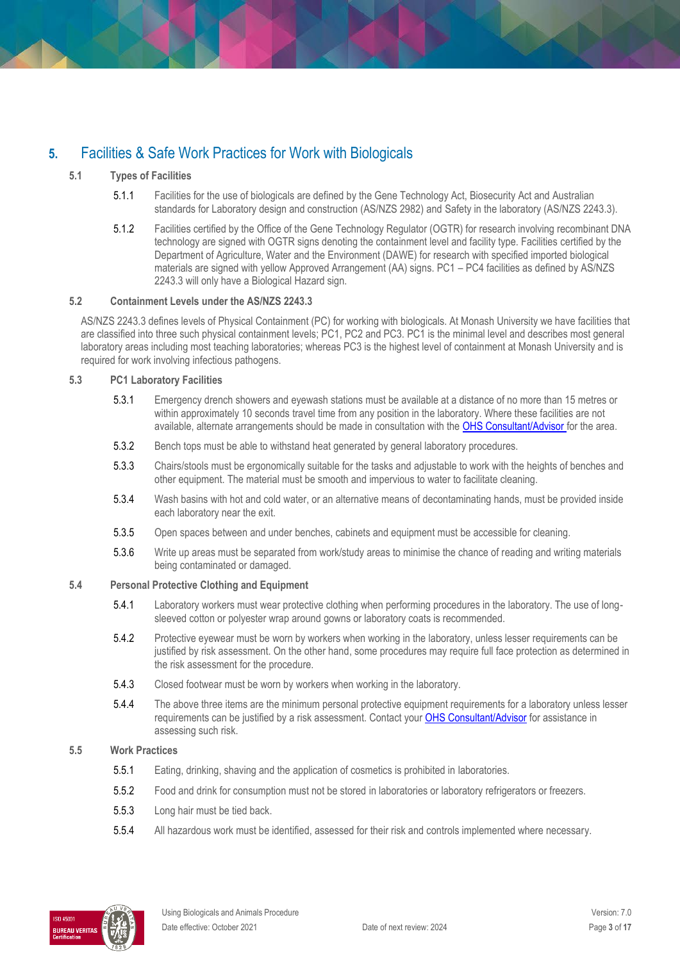# **5.** Facilities & Safe Work Practices for Work with Biologicals

#### **5.1 Types of Facilities**

- 5.1.1 Facilities for the use of biologicals are defined by the Gene Technology Act, Biosecurity Act and Australian standards for Laboratory design and construction (AS/NZS 2982) and Safety in the laboratory (AS/NZS 2243.3).
- 5.1.2 Facilities certified by the Office of the Gene Technology Regulator (OGTR) for research involving recombinant DNA technology are signed with OGTR signs denoting the containment level and facility type. Facilities certified by the Department of Agriculture, Water and the Environment (DAWE) for research with specified imported biological materials are signed with yellow Approved Arrangement (AA) signs. PC1 – PC4 facilities as defined by AS/NZS 2243.3 will only have a Biological Hazard sign.

#### **5.2 Containment Levels under the AS/NZS 2243.3**

AS/NZS 2243.3 defines levels of Physical Containment (PC) for working with biologicals. At Monash University we have facilities that are classified into three such physical containment levels; PC1, PC2 and PC3. PC1 is the minimal level and describes most general laboratory areas including most teaching laboratories; whereas PC3 is the highest level of containment at Monash University and is required for work involving infectious pathogens.

#### **5.3 PC1 Laboratory Facilities**

- 5.3.1 Emergency drench showers and eyewash stations must be available at a distance of no more than 15 metres or within approximately 10 seconds travel time from any position in the laboratory. Where these facilities are not available, alternate arrangements should be made in consultation with the [OHS Consultant/Advisor](http://www.monash.edu.au/ohs/AboutUs) for the area.
- 5.3.2 Bench tops must be able to withstand heat generated by general laboratory procedures.
- 5.3.3 Chairs/stools must be ergonomically suitable for the tasks and adjustable to work with the heights of benches and other equipment. The material must be smooth and impervious to water to facilitate cleaning.
- 5.3.4 Wash basins with hot and cold water, or an alternative means of decontaminating hands, must be provided inside each laboratory near the exit.
- 5.3.5 Open spaces between and under benches, cabinets and equipment must be accessible for cleaning.
- 5.3.6 Write up areas must be separated from work/study areas to minimise the chance of reading and writing materials being contaminated or damaged.

#### **5.4 Personal Protective Clothing and Equipment**

- 5.4.1 Laboratory workers must wear protective clothing when performing procedures in the laboratory. The use of longsleeved cotton or polyester wrap around gowns or laboratory coats is recommended.
- 5.4.2 Protective eyewear must be worn by workers when working in the laboratory, unless lesser requirements can be justified by risk assessment. On the other hand, some procedures may require full face protection as determined in the risk assessment for the procedure.
- 5.4.3 Closed footwear must be worn by workers when working in the laboratory.
- 5.4.4 The above three items are the minimum personal protective equipment requirements for a laboratory unless lesser requirements can be justified by a risk assessment. Contact you[r OHS Consultant/Advisor](http://www.monash.edu.au/ohs/AboutUs) for assistance in assessing such risk.

#### **5.5 Work Practices**

- 5.5.1 Eating, drinking, shaving and the application of cosmetics is prohibited in laboratories.
- 5.5.2 Food and drink for consumption must not be stored in laboratories or laboratory refrigerators or freezers.
- 5.5.3 Long hair must be tied back.
- 5.5.4 All hazardous work must be identified, assessed for their risk and controls implemented where necessary.

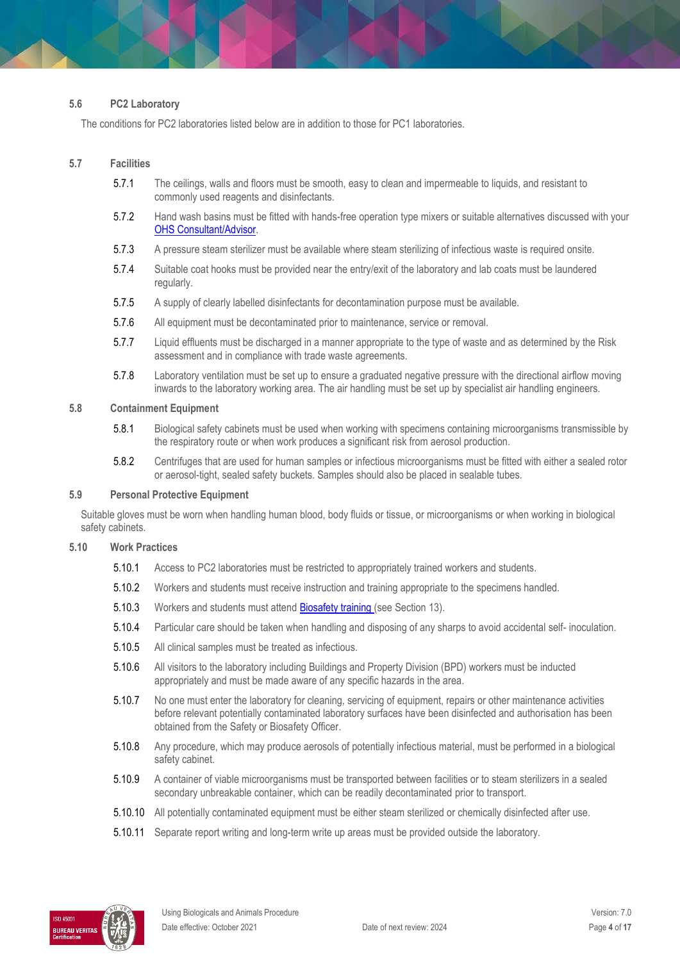#### **5.6 PC2 Laboratory**

The conditions for PC2 laboratories listed below are in addition to those for PC1 laboratories.

#### **5.7 Facilities**

- 5.7.1 The ceilings, walls and floors must be smooth, easy to clean and impermeable to liquids, and resistant to commonly used reagents and disinfectants.
- 5.7.2 Hand wash basins must be fitted with hands-free operation type mixers or suitable alternatives discussed with your [OHS Consultant/Advisor.](http://www.monash.edu.au/ohs/AboutUs)
- 5.7.3 A pressure steam sterilizer must be available where steam sterilizing of infectious waste is required onsite.
- 5.7.4 Suitable coat hooks must be provided near the entry/exit of the laboratory and lab coats must be laundered regularly.
- 5.7.5 A supply of clearly labelled disinfectants for decontamination purpose must be available.
- 5.7.6 All equipment must be decontaminated prior to maintenance, service or removal.
- 5.7.7 Liquid effluents must be discharged in a manner appropriate to the type of waste and as determined by the Risk assessment and in compliance with trade waste agreements.
- 5.7.8 Laboratory ventilation must be set up to ensure a graduated negative pressure with the directional airflow moving inwards to the laboratory working area. The air handling must be set up by specialist air handling engineers.

#### **5.8 Containment Equipment**

- 5.8.1 Biological safety cabinets must be used when working with specimens containing microorganisms transmissible by the respiratory route or when work produces a significant risk from aerosol production.
- 5.8.2 Centrifuges that are used for human samples or infectious microorganisms must be fitted with either a sealed rotor or aerosol-tight, sealed safety buckets. Samples should also be placed in sealable tubes.

#### **5.9 Personal Protective Equipment**

Suitable gloves must be worn when handling human blood, body fluids or tissue, or microorganisms or when working in biological safety cabinets.

#### **5.10 Work Practices**

- 5.10.1 Access to PC2 laboratories must be restricted to appropriately trained workers and students.
- 5.10.2 Workers and students must receive instruction and training appropriate to the specimens handled.
- 5.10.3 Workers and students must atten[d Biosafety training \(](http://www.intranet.monash/staff-development)see Section 13).
- 5.10.4 Particular care should be taken when handling and disposing of any sharps to avoid accidental self- inoculation.
- 5.10.5 All clinical samples must be treated as infectious.
- 5.10.6 All visitors to the laboratory including Buildings and Property Division (BPD) workers must be inducted appropriately and must be made aware of any specific hazards in the area.
- 5.10.7 No one must enter the laboratory for cleaning, servicing of equipment, repairs or other maintenance activities before relevant potentially contaminated laboratory surfaces have been disinfected and authorisation has been obtained from the Safety or Biosafety Officer.
- 5.10.8 Any procedure, which may produce aerosols of potentially infectious material, must be performed in a biological safety cabinet.
- 5.10.9 A container of viable microorganisms must be transported between facilities or to steam sterilizers in a sealed secondary unbreakable container, which can be readily decontaminated prior to transport.
- 5.10.10 All potentially contaminated equipment must be either steam sterilized or chemically disinfected after use.
- 5.10.11 Separate report writing and long-term write up areas must be provided outside the laboratory.

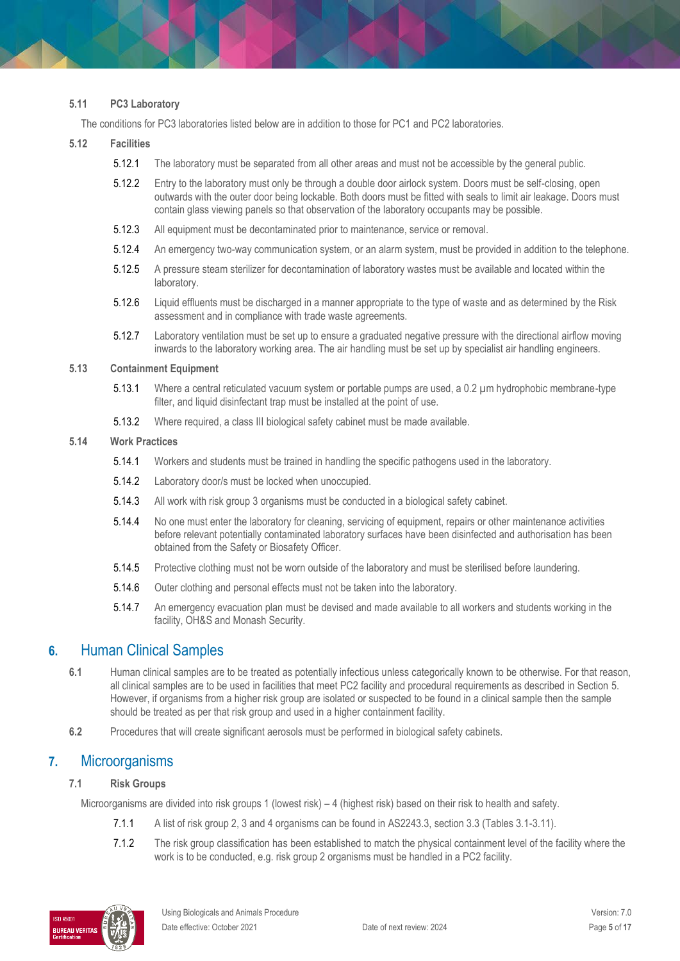#### **5.11 PC3 Laboratory**

The conditions for PC3 laboratories listed below are in addition to those for PC1 and PC2 laboratories.

#### **5.12 Facilities**

- 5.12.1 The laboratory must be separated from all other areas and must not be accessible by the general public.
- 5.12.2 Entry to the laboratory must only be through a double door airlock system. Doors must be self-closing, open outwards with the outer door being lockable. Both doors must be fitted with seals to limit air leakage. Doors must contain glass viewing panels so that observation of the laboratory occupants may be possible.
- 5.12.3 All equipment must be decontaminated prior to maintenance, service or removal.
- 5.12.4 An emergency two-way communication system, or an alarm system, must be provided in addition to the telephone.
- 5.12.5 A pressure steam sterilizer for decontamination of laboratory wastes must be available and located within the laboratory.
- 5.12.6 Liquid effluents must be discharged in a manner appropriate to the type of waste and as determined by the Risk assessment and in compliance with trade waste agreements.
- 5.12.7 Laboratory ventilation must be set up to ensure a graduated negative pressure with the directional airflow moving inwards to the laboratory working area. The air handling must be set up by specialist air handling engineers.

#### **5.13 Containment Equipment**

- 5.13.1 Where a central reticulated vacuum system or portable pumps are used, a 0.2 µm hydrophobic membrane-type filter, and liquid disinfectant trap must be installed at the point of use.
- 5.13.2 Where required, a class III biological safety cabinet must be made available.

#### **5.14 Work Practices**

- 5.14.1 Workers and students must be trained in handling the specific pathogens used in the laboratory.
- 5.14.2 Laboratory door/s must be locked when unoccupied.
- 5.14.3 All work with risk group 3 organisms must be conducted in a biological safety cabinet.
- 5.14.4 No one must enter the laboratory for cleaning, servicing of equipment, repairs or other maintenance activities before relevant potentially contaminated laboratory surfaces have been disinfected and authorisation has been obtained from the Safety or Biosafety Officer.
- 5.14.5 Protective clothing must not be worn outside of the laboratory and must be sterilised before laundering.
- 5.14.6 Outer clothing and personal effects must not be taken into the laboratory.
- 5.14.7 An emergency evacuation plan must be devised and made available to all workers and students working in the facility, OH&S and Monash Security.

### **6.** Human Clinical Samples

- **6.1** Human clinical samples are to be treated as potentially infectious unless categorically known to be otherwise. For that reason, all clinical samples are to be used in facilities that meet PC2 facility and procedural requirements as described in Section 5. However, if organisms from a higher risk group are isolated or suspected to be found in a clinical sample then the sample should be treated as per that risk group and used in a higher containment facility.
- **6.2** Procedures that will create significant aerosols must be performed in biological safety cabinets.

### **7.** Microorganisms

#### **7.1 Risk Groups**

Microorganisms are divided into risk groups 1 (lowest risk) – 4 (highest risk) based on their risk to health and safety.

- 7.1.1 A list of risk group 2, 3 and 4 organisms can be found in AS2243.3, section 3.3 (Tables 3.1-3.11).
- 7.1.2 The risk group classification has been established to match the physical containment level of the facility where the work is to be conducted, e.g. risk group 2 organisms must be handled in a PC2 facility.

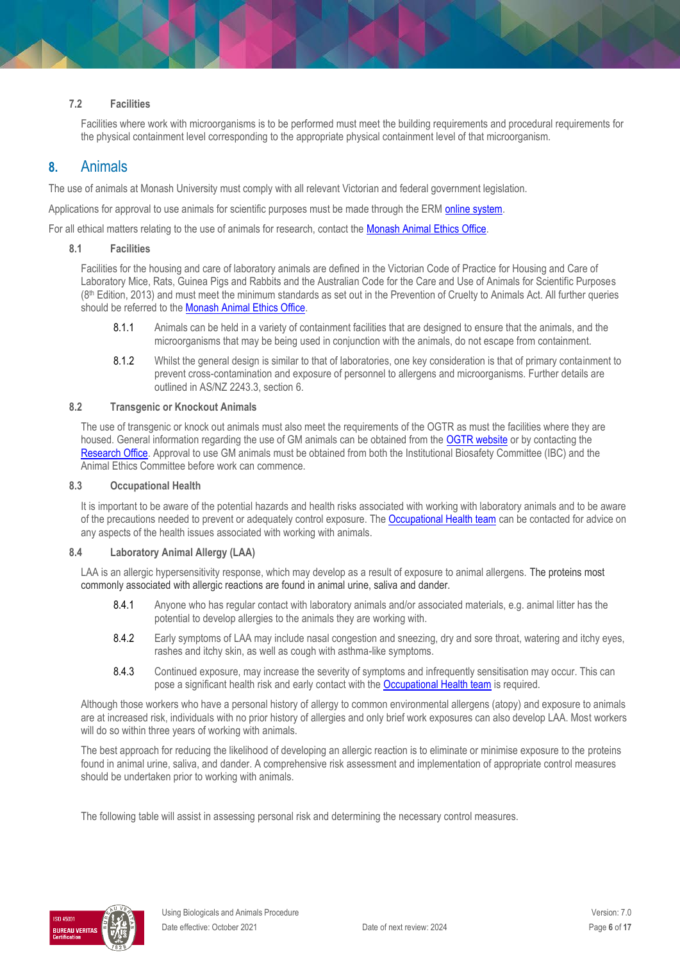#### **7.2 Facilities**

Facilities where work with microorganisms is to be performed must meet the building requirements and procedural requirements for the physical containment level corresponding to the appropriate physical containment level of that microorganism.

### **8.** Animals

The use of animals at Monash University must comply with all relevant Victorian and federal government legislation.

Applications for approval to use animals for scientific purposes must be made through the ERM [online system.](https://ethicsapps.monash.edu/)

For all ethical matters relating to the use of animals for research, contact the **Monash Animal Ethics Office**.

#### **8.1 Facilities**

Facilities for the housing and care of laboratory animals are defined in the Victorian Code of Practice for Housing and Care of Laboratory Mice, Rats, Guinea Pigs and Rabbits and the Australian Code for the Care and Use of Animals for Scientific Purposes (8th Edition, 2013) and must meet the minimum standards as set out in the Prevention of Cruelty to Animals Act. All further queries should be referred to th[e Monash Animal Ethics Office.](https://www.monash.edu/researchoffice/contact)

- 8.1.1 Animals can be held in a variety of containment facilities that are designed to ensure that the animals, and the microorganisms that may be being used in conjunction with the animals, do not escape from containment.
- 8.1.2 Whilst the general design is similar to that of laboratories, one key consideration is that of primary containment to prevent cross-contamination and exposure of personnel to allergens and microorganisms. Further details are outlined in AS/NZ 2243.3, section 6.

#### **8.2 Transgenic or Knockout Animals**

The use of transgenic or knock out animals must also meet the requirements of the OGTR as must the facilities where they are housed. General information regarding the use of GM animals can be obtained from the **OGTR website** or by contacting the [Research Office.](https://www.monash.edu/researchoffice/contact) Approval to use GM animals must be obtained from both the Institutional Biosafety Committee (IBC) and the Animal Ethics Committee before work can commence.

#### **8.3 Occupational Health**

It is important to be aware of the potential hazards and health risks associated with working with laboratory animals and to be aware of the precautions needed to prevent or adequately control exposure. Th[e Occupational Health team](http://www.monash.edu.au/ohs/AboutUs) can be contacted for advice on any aspects of the health issues associated with working with animals.

#### **8.4 Laboratory Animal Allergy (LAA)**

LAA is an allergic hypersensitivity response, which may develop as a result of exposure to animal allergens. The proteins most commonly associated with allergic reactions are found in animal urine, saliva and dander.

- 8.4.1 Anyone who has regular contact with laboratory animals and/or associated materials, e.g. animal litter has the potential to develop allergies to the animals they are working with.
- 8.4.2 Early symptoms of LAA may include nasal congestion and sneezing, dry and sore throat, watering and itchy eyes, rashes and itchy skin, as well as cough with asthma-like symptoms.
- 8.4.3 Continued exposure, may increase the severity of symptoms and infrequently sensitisation may occur. This can pose a significant health risk and early contact with the [Occupational Health team](http://www.monash.edu.au/ohs/AboutUs) is required.

Although those workers who have a personal history of allergy to common environmental allergens (atopy) and exposure to animals are at increased risk, individuals with no prior history of allergies and only brief work exposures can also develop LAA. Most workers will do so within three years of working with animals.

The best approach for reducing the likelihood of developing an allergic reaction is to eliminate or minimise exposure to the proteins found in animal urine, saliva, and dander. A comprehensive risk assessment and implementation of appropriate control measures should be undertaken prior to working with animals.

The following table will assist in assessing personal risk and determining the necessary control measures.

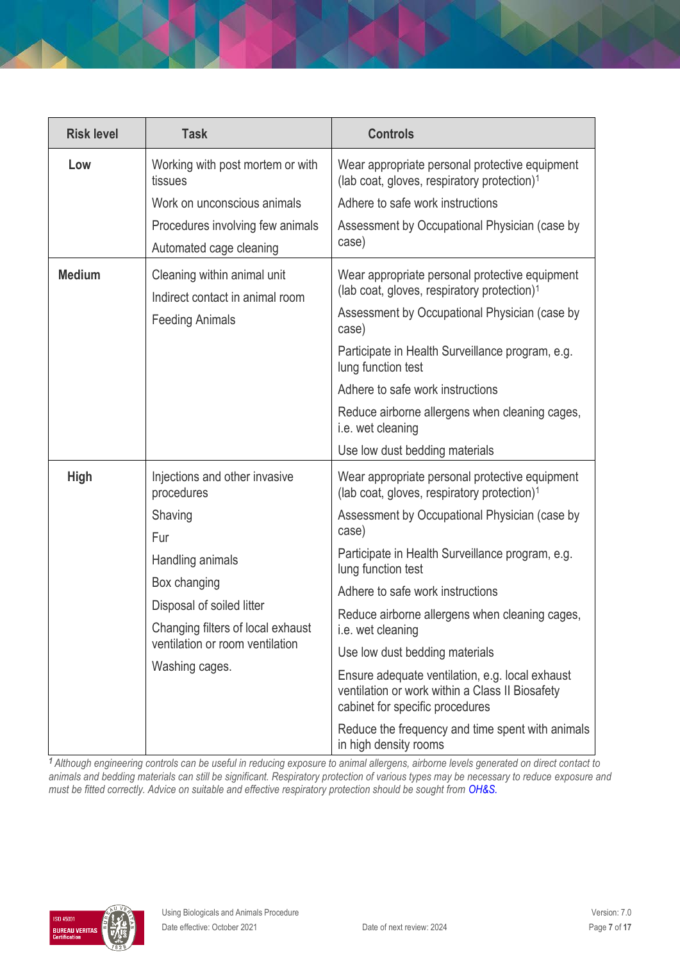| <b>Risk level</b> | <b>Task</b>                                                                                                                         | <b>Controls</b>                                                                                                                                                                                                                               |
|-------------------|-------------------------------------------------------------------------------------------------------------------------------------|-----------------------------------------------------------------------------------------------------------------------------------------------------------------------------------------------------------------------------------------------|
| Low               | Working with post mortem or with<br>tissues                                                                                         | Wear appropriate personal protective equipment<br>(lab coat, gloves, respiratory protection) <sup>1</sup>                                                                                                                                     |
|                   | Work on unconscious animals                                                                                                         | Adhere to safe work instructions                                                                                                                                                                                                              |
|                   | Procedures involving few animals<br>Automated cage cleaning                                                                         | Assessment by Occupational Physician (case by<br>case)                                                                                                                                                                                        |
| <b>Medium</b>     | Cleaning within animal unit<br>Indirect contact in animal room<br><b>Feeding Animals</b>                                            | Wear appropriate personal protective equipment<br>(lab coat, gloves, respiratory protection) <sup>1</sup><br>Assessment by Occupational Physician (case by<br>case)<br>Participate in Health Surveillance program, e.g.<br>lung function test |
|                   |                                                                                                                                     | Adhere to safe work instructions                                                                                                                                                                                                              |
|                   |                                                                                                                                     | Reduce airborne allergens when cleaning cages,<br>i.e. wet cleaning                                                                                                                                                                           |
|                   |                                                                                                                                     | Use low dust bedding materials                                                                                                                                                                                                                |
| <b>High</b>       | Injections and other invasive<br>procedures                                                                                         | Wear appropriate personal protective equipment<br>(lab coat, gloves, respiratory protection) <sup>1</sup>                                                                                                                                     |
|                   | Shaving<br>Fur                                                                                                                      | Assessment by Occupational Physician (case by<br>case)                                                                                                                                                                                        |
|                   | Handling animals                                                                                                                    | Participate in Health Surveillance program, e.g.<br>lung function test                                                                                                                                                                        |
|                   | Box changing<br>Disposal of soiled litter<br>Changing filters of local exhaust<br>ventilation or room ventilation<br>Washing cages. | Adhere to safe work instructions                                                                                                                                                                                                              |
|                   |                                                                                                                                     | Reduce airborne allergens when cleaning cages,<br>i.e. wet cleaning                                                                                                                                                                           |
|                   |                                                                                                                                     | Use low dust bedding materials                                                                                                                                                                                                                |
|                   |                                                                                                                                     | Ensure adequate ventilation, e.g. local exhaust<br>ventilation or work within a Class II Biosafety<br>cabinet for specific procedures                                                                                                         |
|                   |                                                                                                                                     | Reduce the frequency and time spent with animals<br>in high density rooms                                                                                                                                                                     |

*<sup>1</sup>Although engineering controls can be useful in reducing exposure to animal allergens, airborne levels generated on direct contact to animals and bedding materials can still be significant. Respiratory protection of various types may be necessary to reduce exposure and must be fitted correctly. Advice on suitable and effective respiratory protection should be sought from [OH&S.](http://www.monash.edu.au/ohs/AboutUs)*

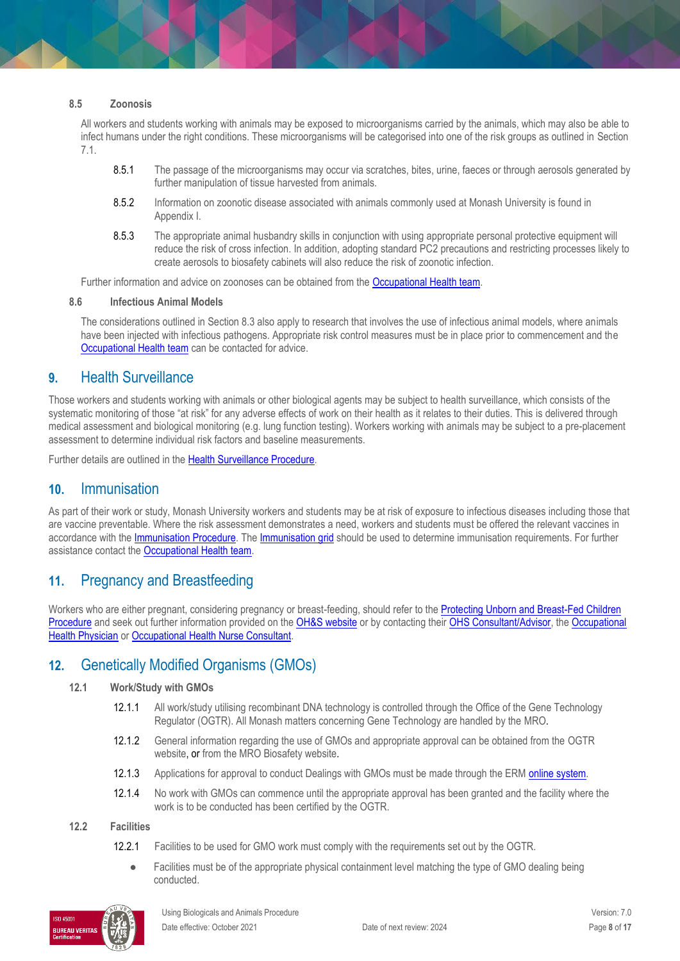#### **8.5 Zoonosis**

All workers and students working with animals may be exposed to microorganisms carried by the animals, which may also be able to infect humans under the right conditions. These microorganisms will be categorised into one of the risk groups as outlined in Section 7.1.

- 8.5.1 The passage of the microorganisms may occur via scratches, bites, urine, faeces or through aerosols generated by further manipulation of tissue harvested from animals.
- 8.5.2 Information on zoonotic disease associated with animals commonly used at Monash University is found in Appendix I.
- 8.5.3 The appropriate animal husbandry skills in conjunction with using appropriate personal protective equipment will reduce the risk of cross infection. In addition, adopting standard PC2 precautions and restricting processes likely to create aerosols to biosafety cabinets will also reduce the risk of zoonotic infection.

Further information and advice on zoonoses can be obtained from the [Occupational Health team.](http://www.monash.edu.au/ohs/AboutUs)

#### **8.6 Infectious Animal Models**

The considerations outlined in Section 8.3 also apply to research that involves the use of infectious animal models, where animals have been injected with infectious pathogens. Appropriate risk control measures must be in place prior to commencement and the [Occupational Health team](http://www.monash.edu.au/ohs/AboutUs) can be contacted for advice.

### **9.** Health Surveillance

Those workers and students working with animals or other biological agents may be subject to health surveillance, which consists of the systematic monitoring of those "at risk" for any adverse effects of work on their health as it relates to their duties. This is delivered through medical assessment and biological monitoring (e.g. lung function testing). Workers working with animals may be subject to a pre-placement assessment to determine individual risk factors and baseline measurements.

Further details are outlined in th[e Health Surveillance Procedure.](https://publicpolicydms.monash.edu/Monash/documents/1935612)

### **10.** Immunisation

As part of their work or study, Monash University workers and students may be at risk of exposure to infectious diseases including those that are vaccine preventable. Where the risk assessment demonstrates a need, workers and students must be offered the relevant vaccines in accordance with the [Immunisation Procedure.](https://publicpolicydms.monash.edu/Monash/documents/1935616) Th[e Immunisation grid](https://www.monash.edu/ohs/info-docs/safety-topics/immunisations) should be used to determine immunisation requirements. For further assistance contact the [Occupational Health team.](http://www.monash.edu.au/ohs/AboutUs)

# **11.** Pregnancy and Breastfeeding

Workers who are either pregnant, considering pregnancy or breast-feeding, should refer to the [Protecting Unborn and Breast-Fed Children](https://publicpolicydms.monash.edu/Monash/documents/1935638)  [Procedure](https://publicpolicydms.monash.edu/Monash/documents/1935638) and seek out further information provided on th[e OH&S website](https://www.monash.edu/ohs/info-docs/safety-topics/events-and-people/pregnancy-and-work) or by contacting thei[r OHS Consultant/Advisor,](https://www.monash.edu/ohs/AboutUs) th[e Occupational](https://www.monash.edu/ohs/AboutUs/health-wellbeing/physician)  [Health Physician](https://www.monash.edu/ohs/AboutUs/health-wellbeing/physician) o[r Occupational Health Nurse Consultant.](https://www.monash.edu/ohs/AboutUs/health-wellbeing/nurse-consultants)

# **12.** Genetically Modified Organisms (GMOs)

#### **12.1 Work/Study with GMOs**

- 12.1.1 All work/study utilising recombinant DNA technology is controlled through the Office of the Gene Technology Regulator (OGTR). All Monash matters concerning Gene Technology are handled by the [MRO.](https://www.monash.edu/researchoffice/contact)
- 12.1.2 General information regarding the use of GMOs and appropriate approval can be obtained from the [OGTR](http://www.ogtr.gov.au/)  [website,](http://www.ogtr.gov.au/) or from the MRO [Biosafety website.](http://www.intranet.monash/researchadmin/start/ethics/biosafety)
- 12.1.3 Applications for approval to conduct Dealings with GMOs must be made through the ERM [online system.](https://ethicsapps.monash.edu/)
- 12.1.4 No work with GMOs can commence until the appropriate approval has been granted and the facility where the work is to be conducted has been certified by the OGTR.

#### **12.2 Facilities**

- 12.2.1 Facilities to be used for GMO work must comply with the requirements set out by the OGTR.
	- Facilities must be of the appropriate physical containment level matching the type of GMO dealing being conducted.

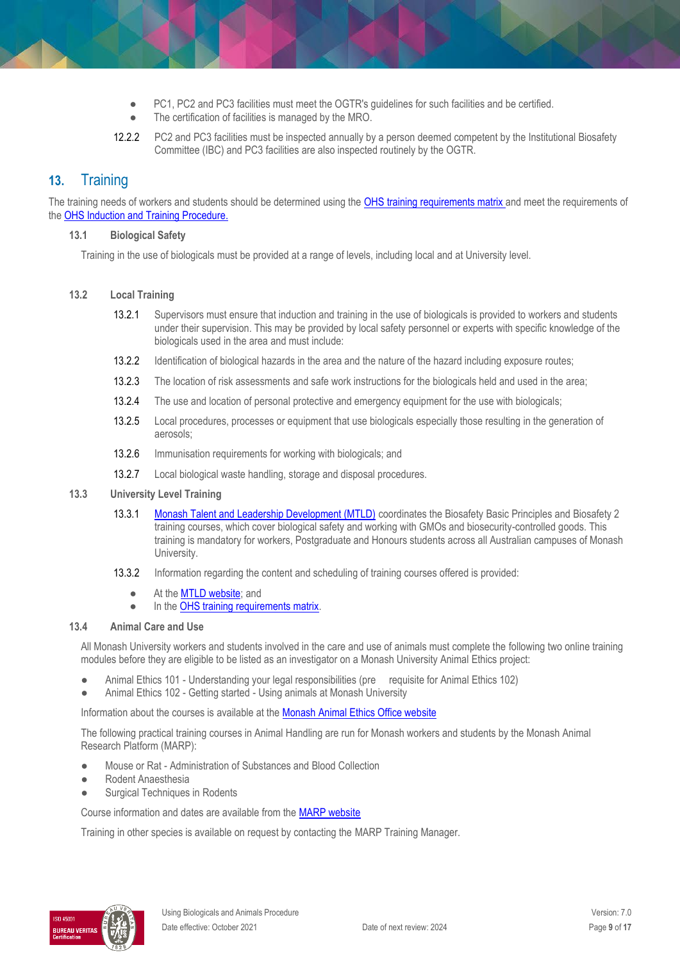- PC1, PC2 and PC3 facilities must meet the OGTR's guidelines for such facilities and be certified.
- The certification of facilities is managed by the MRO.
- 12.2.2 PC2 and PC3 facilities must be inspected annually by a person deemed competent by the Institutional Biosafety Committee (IBC) and PC3 facilities are also inspected routinely by the OGTR.

# **13.** Training

The training needs of workers and students should be determined using the [OHS training requirements matrix](https://www.monash.edu/__data/assets/pdf_file/0004/496030/ohs-training-guide.pdf) and meet the requirements of the [OHS Induction and Training Procedure.](https://publicpolicydms.monash.edu/Monash/documents/1935627)

#### **13.1 Biological Safety**

Training in the use of biologicals must be provided at a range of levels, including local and at University level.

#### **13.2 Local Training**

- 13.2.1 Supervisors must ensure that induction and training in the use of biologicals is provided to workers and students under their supervision. This may be provided by local safety personnel or experts with specific knowledge of the biologicals used in the area and must include:
- 13.2.2 Identification of biological hazards in the area and the nature of the hazard including exposure routes;
- 13.2.3 The location of risk assessments and safe work instructions for the biologicals held and used in the area;
- 13.2.4 The use and location of personal protective and emergency equipment for the use with biologicals;
- 13.2.5 Local procedures, processes or equipment that use biologicals especially those resulting in the generation of aerosols;
- 13.2.6 Immunisation requirements for working with biologicals; and
- 13.2.7 Local biological waste handling, storage and disposal procedures.

#### **13.3 University Level Training**

- 13.3.1 [Monash Talent and Leadership Development \(MTLD\)](http://www.intranet.monash/staff-development/) coordinates the Biosafety Basic Principles and Biosafety 2 training courses, which cover biological safety and working with GMOs and biosecurity-controlled goods. This training is mandatory for workers, Postgraduate and Honours students across all Australian campuses of Monash University.
- 13.3.2 Information regarding the content and scheduling of training courses offered is provided:
	- At th[e MTLD website;](http://www.intranet.monash/staff-development/) and
	- In th[e OHS training requirements matrix.](https://www.monash.edu/__data/assets/pdf_file/0004/496030/ohs-training-guide.pdf)

#### **13.4 Animal Care and Use**

All Monash University workers and students involved in the care and use of animals must complete the following two online training modules before they are eligible to be listed as an investigator on a Monash University Animal Ethics project:

- Animal Ethics 101 Understanding your legal responsibilities (pre requisite for Animal Ethics 102)
- Animal Ethics 102 Getting started Using animals at Monash University

Information about the courses is available at the [Monash Animal Ethics Office website](http://www.intranet.monash/researchadmin/start/ethics/animal)

The following practical training courses in Animal Handling are run for Monash workers and students by the Monash Animal Research Platform (MARP):

- Mouse or Rat Administration of Substances and Blood Collection
- Rodent Anaesthesia
- **•** Surgical Techniques in Rodents

Course information and dates are available from the [MARP website](https://sites.google.com/monash.edu/marp)

Training in other species is available on request by contacting the MARP Training Manager.

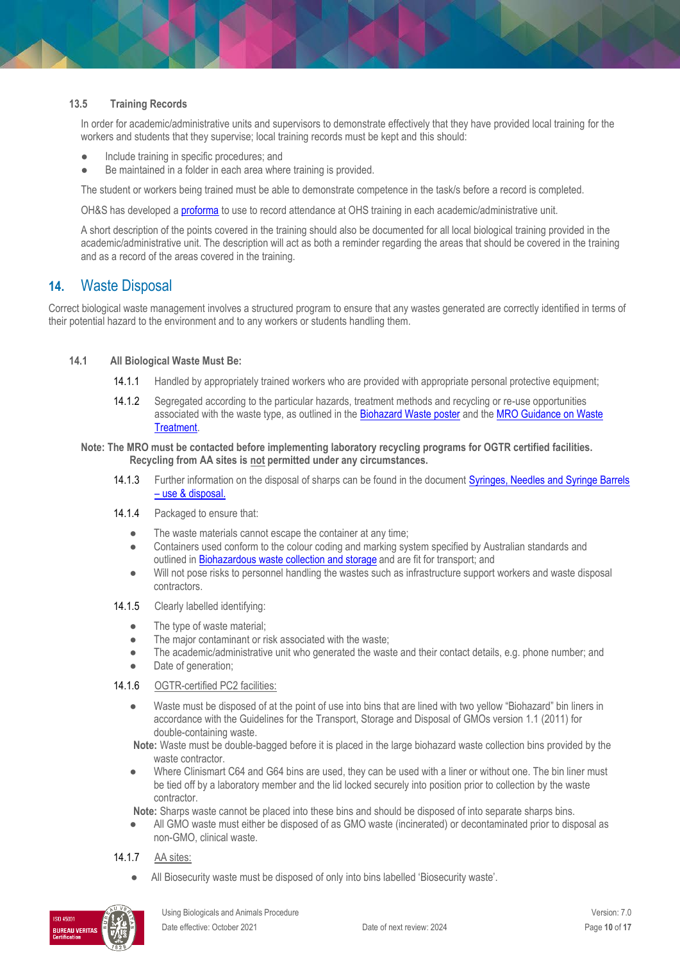#### **13.5 Training Records**

In order for academic/administrative units and supervisors to demonstrate effectively that they have provided local training for the workers and students that they supervise; local training records must be kept and this should:

- Include training in specific procedures; and
- Be maintained in a folder in each area where training is provided.

The student or workers being trained must be able to demonstrate competence in the task/s before a record is completed.

OH&S has developed a [proforma](https://www.monash.edu/__data/assets/word_doc/0011/1621847/Local-training-records-proforma.docx) to use to record attendance at OHS training in each academic/administrative unit.

A short description of the points covered in the training should also be documented for all local biological training provided in the academic/administrative unit. The description will act as both a reminder regarding the areas that should be covered in the training and as a record of the areas covered in the training.

### **14.** Waste Disposal

Correct biological waste management involves a structured program to ensure that any wastes generated are correctly identified in terms of their potential hazard to the environment and to any workers or students handling them.

#### **14.1 All Biological Waste Must Be:**

- 14.1.1 Handled by appropriately trained workers who are provided with appropriate personal protective equipment;
- 14.1.2 Segregated according to the particular hazards, treatment methods and recycling or re-use opportunities associated with the waste type, as outlined in the [Biohazard Waste poster](https://www.intranet.monash/researchadmin/start/ethics/biosafety/standard-operating-procedures/3-Good-Reasons-Monash-Uni.pdf) and the MRO Guidance on Waste [Treatment.](https://www.intranet.monash/researchadmin/start/ethics/biosafety/standard-operating-procedures/MRO-Guidance-on-Waste-Treatment.docx)

#### **Note: The MRO must be contacted before implementing laboratory recycling programs for OGTR certified facilities. Recycling from AA sites is not permitted under any circumstances.**

- 14.1.3 Further information on the disposal of sharps can be found in the documen[t Syringes, Needles and Syringe Barrels](http://www.monash.edu.au/ohs/information-and-documents/all-information-sheets/syringes-and-needles-use,-disposal-and-incident-follow-up)  – [use & disposal.](http://www.monash.edu.au/ohs/information-and-documents/all-information-sheets/syringes-and-needles-use,-disposal-and-incident-follow-up)
- 14.1.4 Packaged to ensure that:
	- The waste materials cannot escape the container at any time;
	- Containers used conform to the colour coding and marking system specified by Australian standards and outlined i[n Biohazardous waste collection and storage](http://www.intranet.monash/researchadmin/media/documents/start/ethics-and-compliance/biosafety/biohazardous_waste_containers.docx) and are fit for transport; and
	- Will not pose risks to personnel handling the wastes such as infrastructure support workers and waste disposal contractors.
- 14.1.5 Clearly labelled identifying:
	- The type of waste material;
	- The major contaminant or risk associated with the waste;
	- The academic/administrative unit who generated the waste and their contact details, e.g. phone number; and
	- Date of generation;

#### 14.1.6 OGTR-certified PC2 facilities:

● Waste must be disposed of at the point of use into bins that are lined with two yellow "Biohazard" bin liners in accordance with the Guidelines for the Transport, Storage and Disposal of GMOs version 1.1 (2011) for double-containing waste.

**Note:** Waste must be double-bagged before it is placed in the large biohazard waste collection bins provided by the waste contractor.

Where Clinismart C64 and G64 bins are used, they can be used with a liner or without one. The bin liner must be tied off by a laboratory member and the lid locked securely into position prior to collection by the waste contractor.

**Note:** Sharps waste cannot be placed into these bins and should be disposed of into separate sharps bins.

All GMO waste must either be disposed of as GMO waste (incinerated) or decontaminated prior to disposal as non-GMO, clinical waste.

#### 14.1.7 AA sites:

All Biosecurity waste must be disposed of only into bins labelled 'Biosecurity waste'.

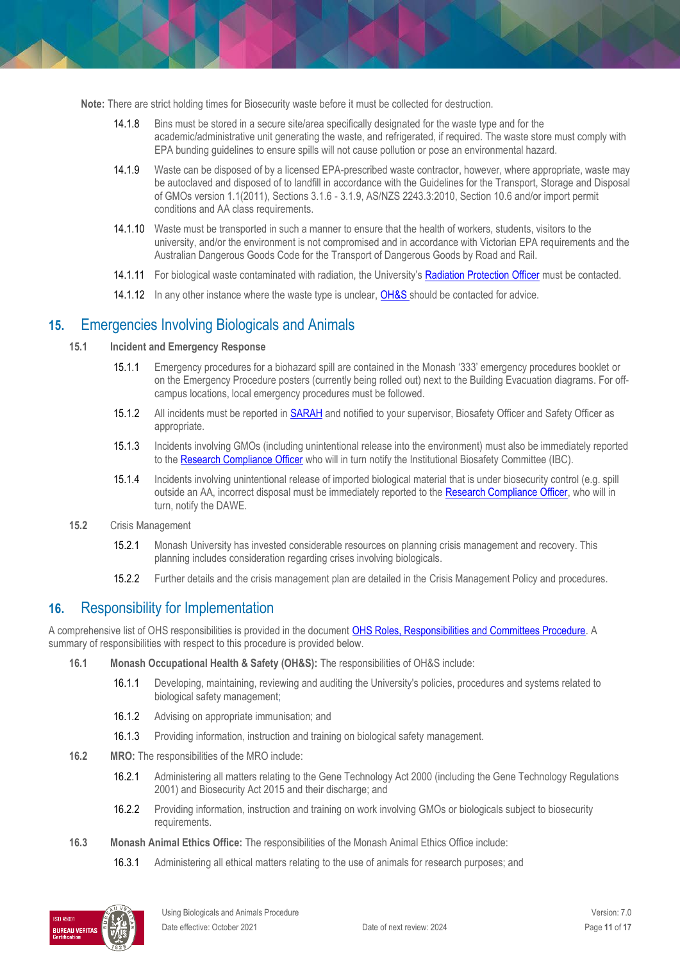**Note:** There are strict holding times for Biosecurity waste before it must be collected for destruction.

- 14.1.8 Bins must be stored in a secure site/area specifically designated for the waste type and for the academic/administrative unit generating the waste, and refrigerated, if required. The waste store must comply with EPA bunding guidelines to ensure spills will not cause pollution or pose an environmental hazard.
- 14.1.9 Waste can be disposed of by a licensed EPA-prescribed waste contractor, however, where appropriate, waste may be autoclaved and disposed of to landfill in accordance with the Guidelines for the Transport, Storage and Disposal of GMOs version 1.1(2011), Sections 3.1.6 - 3.1.9, AS/NZS 2243.3:2010, Section 10.6 and/or import permit conditions and AA class requirements.
- 14.1.10 Waste must be transported in such a manner to ensure that the health of workers, students, visitors to the university, and/or the environment is not compromised and in accordance with Victorian EPA requirements and the Australian Dangerous Goods Code for the Transport of Dangerous Goods by Road and Rail.
- 14.1.11 For biological waste contaminated with radiation, the University's [Radiation Protection Officer](https://www.monash.edu/ohs/AboutUs/faculty-division/margaret-rendell) must be contacted.
- 14.1.12 In any other instance where the waste type is unclear, [OH&S s](http://www.monash.edu.au/ohs/AboutUs)hould be contacted for advice.

# **15.** Emergencies Involving Biologicals and Animals

- **15.1 Incident and Emergency Response**
	- 15.1.1 Emergency procedures for a biohazard spill are contained in the Monash '333' emergency procedures booklet or on the Emergency Procedure posters (currently being rolled out) next to the Building Evacuation diagrams. For offcampus locations, local emergency procedures must be followed.
	- 15.1.2 All incidents must be reported in [SARAH](https://www.monash.edu/ohs/report-incident-hazard/tutorials) and notified to your supervisor, Biosafety Officer and Safety Officer as appropriate.
	- 15.1.3 Incidents involving GMOs (including unintentional release into the environment) must also be immediately reported to the [Research Compliance Officer](https://www.monash.edu/researchoffice/contact) who will in turn notify the Institutional Biosafety Committee (IBC).
	- 15.1.4 Incidents involving unintentional release of imported biological material that is under biosecurity control (e.g. spill outside an AA, incorrect disposal must be immediately reported to the [Research Compliance Officer,](https://www.monash.edu/researchoffice/contact) who will in turn, notify the DAWE.
- **15.2** Crisis Management
	- 15.2.1 Monash University has invested considerable resources on planning crisis management and recovery. This planning includes consideration regarding crises involving biologicals.
	- 15.2.2 Further details and the crisis management plan are detailed in the [Crisis Management Policy](https://www.monash.edu/__data/assets/pdf_file/0009/786654/Crisis-Management-Policy.pdf) and [procedures.](https://www.monash.edu/__data/assets/pdf_file/0006/786696/Crisis-Management-Procedures.pdf)

# **16.** Responsibility for Implementation

A comprehensive list of OHS responsibilities is provided in the document [OHS Roles, Responsibilities and Committees Procedure.](https://publicpolicydms.monash.edu/Monash/documents/1935644) A summary of responsibilities with respect to this procedure is provided below.

- **16.1 Monash Occupational Health & Safety (OH&S):** The responsibilities of OH&S include:
	- 16.1.1 Developing, maintaining, reviewing and auditing the University's policies, procedures and systems related to biological safety management;
	- 16.1.2 Advising on appropriate immunisation; and
	- 16.1.3 Providing information, instruction and training on biological safety management.
- **16.2 MRO:** The responsibilities of the MRO include:
	- 16.2.1 Administering all matters relating to the Gene Technology Act 2000 (including the Gene Technology Regulations 2001) and Biosecurity Act 2015 and their discharge; and
	- 16.2.2 Providing information, instruction and training on work involving GMOs or biologicals subject to biosecurity requirements.
- **16.3 Monash Animal Ethics Office:** The responsibilities of the Monash Animal Ethics Office include:
	- 16.3.1 Administering all ethical matters relating to the use of animals for research purposes; and

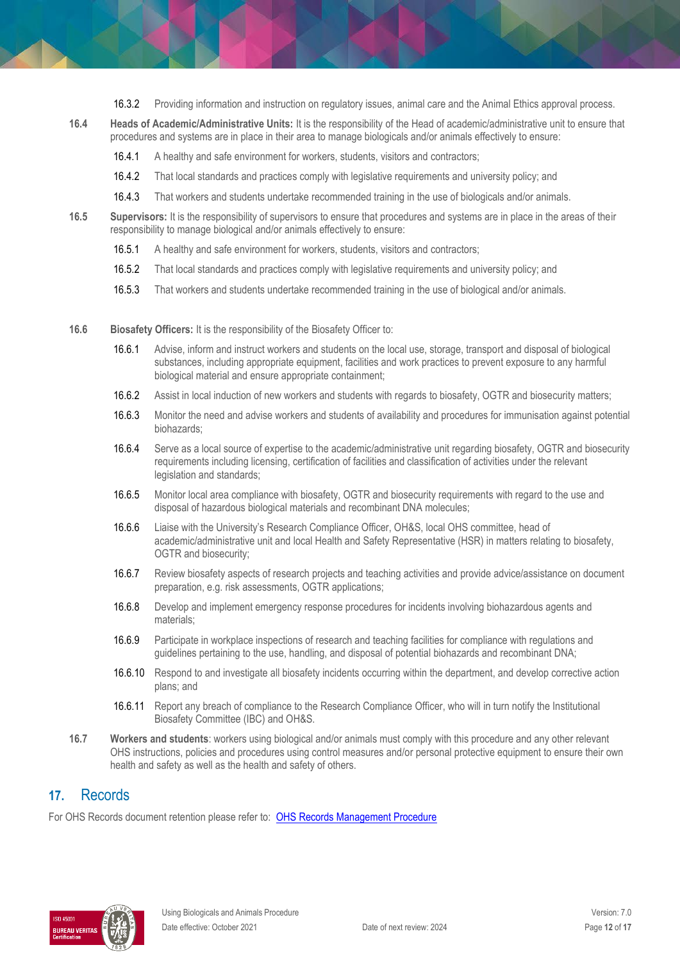- 16.3.2 Providing information and instruction on regulatory issues, animal care and the Animal Ethics approval process.
- **16.4 Heads of Academic/Administrative Units:** It is the responsibility of the Head of academic/administrative unit to ensure that procedures and systems are in place in their area to manage biologicals and/or animals effectively to ensure:
	- 16.4.1 A healthy and safe environment for workers, students, visitors and contractors;
	- 16.4.2 That local standards and practices comply with legislative requirements and university policy; and
	- 16.4.3 That workers and students undertake recommended training in the use of biologicals and/or animals.
- **16.5 Supervisors:** It is the responsibility of supervisors to ensure that procedures and systems are in place in the areas of their responsibility to manage biological and/or animals effectively to ensure:
	- 16.5.1 A healthy and safe environment for workers, students, visitors and contractors;
	- 16.5.2 That local standards and practices comply with legislative requirements and university policy; and
	- 16.5.3 That workers and students undertake recommended training in the use of biological and/or animals.
- **16.6 Biosafety Officers:** It is the responsibility of the Biosafety Officer to:
	- 16.6.1 Advise, inform and instruct workers and students on the local use, storage, transport and disposal of biological substances, including appropriate equipment, facilities and work practices to prevent exposure to any harmful biological material and ensure appropriate containment;
	- 16.6.2 Assist in local induction of new workers and students with regards to biosafety, OGTR and biosecurity matters;
	- 16.6.3 Monitor the need and advise workers and students of availability and procedures for immunisation against potential biohazards;
	- 16.6.4 Serve as a local source of expertise to the academic/administrative unit regarding biosafety, OGTR and biosecurity requirements including licensing, certification of facilities and classification of activities under the relevant legislation and standards;
	- 16.6.5 Monitor local area compliance with biosafety, OGTR and biosecurity requirements with regard to the use and disposal of hazardous biological materials and recombinant DNA molecules;
	- 16.6.6 Liaise with the University's Research Compliance Officer, OH&S, local OHS committee, head of academic/administrative unit and local Health and Safety Representative (HSR) in matters relating to biosafety, OGTR and biosecurity;
	- 16.6.7 Review biosafety aspects of research projects and teaching activities and provide advice/assistance on document preparation, e.g. risk assessments, OGTR applications;
	- 16.6.8 Develop and implement emergency response procedures for incidents involving biohazardous agents and materials;
	- 16.6.9 Participate in workplace inspections of research and teaching facilities for compliance with regulations and guidelines pertaining to the use, handling, and disposal of potential biohazards and recombinant DNA;
	- 16.6.10 Respond to and investigate all biosafety incidents occurring within the department, and develop corrective action plans; and
	- 16.6.11 Report any breach of compliance to the Research Compliance Officer, who will in turn notify the Institutional Biosafety Committee (IBC) and OH&S.
- **16.7 Workers and students**: workers using biological and/or animals must comply with this procedure and any other relevant OHS instructions, policies and procedures using control measures and/or personal protective equipment to ensure their own health and safety as well as the health and safety of others.

### **17.** Records

For OHS Records document retention please refer to: [OHS Records Management Procedure](https://publicpolicydms.monash.edu/Monash/documents/1935642)

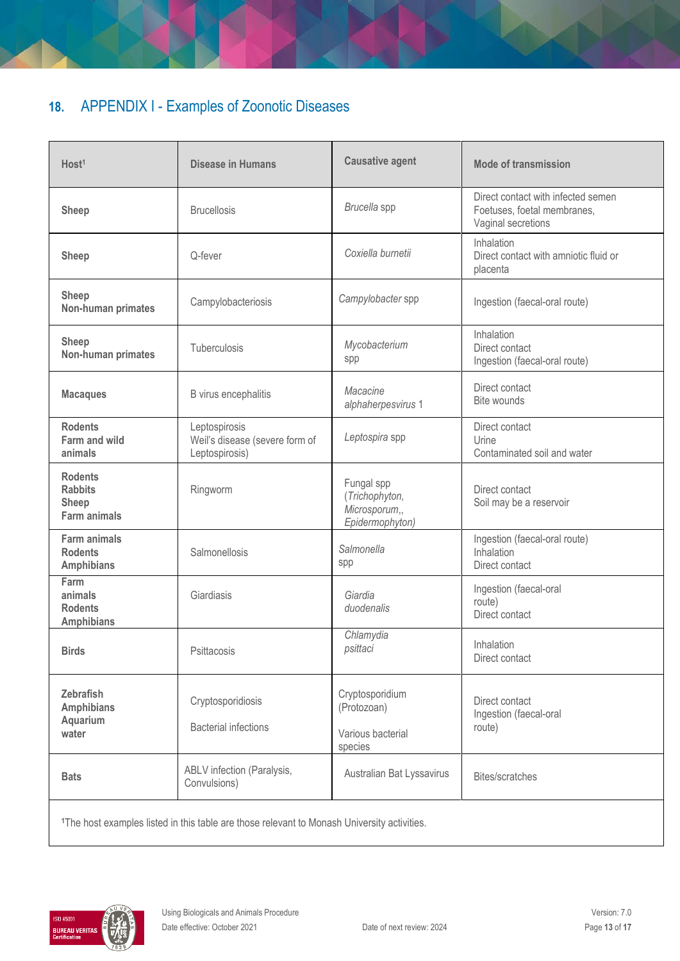# **18.** APPENDIX I - Examples of Zoonotic Diseases

| Host <sup>1</sup><br><b>Disease in Humans</b>                                                                          |                                                                                                        | <b>Causative agent</b>                                           | <b>Mode of transmission</b>                                                             |
|------------------------------------------------------------------------------------------------------------------------|--------------------------------------------------------------------------------------------------------|------------------------------------------------------------------|-----------------------------------------------------------------------------------------|
| <b>Brucellosis</b><br><b>Sheep</b>                                                                                     |                                                                                                        | Brucella spp                                                     | Direct contact with infected semen<br>Foetuses, foetal membranes,<br>Vaginal secretions |
| <b>Sheep</b>                                                                                                           | Q-fever                                                                                                |                                                                  | Inhalation<br>Direct contact with amniotic fluid or<br>placenta                         |
| <b>Sheep</b><br>Non-human primates                                                                                     | Campylobacteriosis                                                                                     |                                                                  | Ingestion (faecal-oral route)                                                           |
| <b>Sheep</b><br>Non-human primates                                                                                     | Tuberculosis                                                                                           | Mycobacterium<br>spp                                             | Inhalation<br>Direct contact<br>Ingestion (faecal-oral route)                           |
| B virus encephalitis<br><b>Macaques</b>                                                                                |                                                                                                        | Macacine<br>alphaherpesvirus 1                                   | Direct contact<br>Bite wounds                                                           |
| <b>Rodents</b><br>Leptospirosis<br><b>Farm and wild</b><br>Weil's disease (severe form of<br>animals<br>Leptospirosis) |                                                                                                        | Leptospira spp                                                   | Direct contact<br>Urine<br>Contaminated soil and water                                  |
| <b>Rodents</b><br><b>Rabbits</b><br><b>Sheep</b><br><b>Farm animals</b>                                                | Ringworm                                                                                               | Fungal spp<br>(Trichophyton,<br>Microsporum,,<br>Epidermophyton) | Direct contact<br>Soil may be a reservoir                                               |
| <b>Farm animals</b><br>Salmonellosis<br><b>Rodents</b><br><b>Amphibians</b>                                            |                                                                                                        | Salmonella<br>spp                                                | Ingestion (faecal-oral route)<br>Inhalation<br>Direct contact                           |
| Farm<br>animals<br><b>Rodents</b><br><b>Amphibians</b>                                                                 | Giardiasis                                                                                             | Giardia<br>duodenalis                                            | Ingestion (faecal-oral<br>route)<br>Direct contact                                      |
| <b>Birds</b><br>Psittacosis                                                                                            |                                                                                                        | Chlamydia<br>psittaci                                            | Inhalation<br>Direct contact                                                            |
| <b>Zebrafish</b><br><b>Amphibians</b><br>Aquarium<br>water                                                             | Cryptosporidiosis<br><b>Bacterial infections</b>                                                       | Cryptosporidium<br>(Protozoan)<br>Various bacterial<br>species   | Direct contact<br>Ingestion (faecal-oral<br>route)                                      |
| <b>Bats</b>                                                                                                            | ABLV infection (Paralysis,<br>Convulsions)                                                             | Australian Bat Lyssavirus                                        | Bites/scratches                                                                         |
|                                                                                                                        | <sup>1</sup> The host examples listed in this table are those relevant to Monash University activities |                                                                  |                                                                                         |

1**1** The site of the monash in this test where  $\alpha$ 

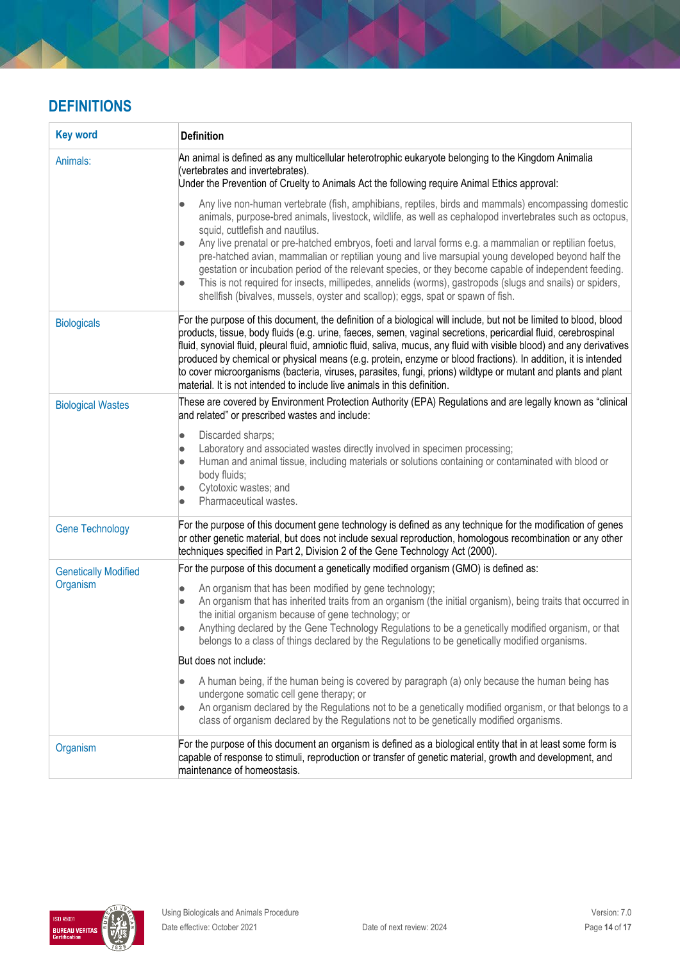# **DEFINITIONS**

| <b>Key word</b>             | <b>Definition</b>                                                                                                                                                                                                                                                                                                                                                                                                                                                                                                                                                                                                                                                                                                                                                            |
|-----------------------------|------------------------------------------------------------------------------------------------------------------------------------------------------------------------------------------------------------------------------------------------------------------------------------------------------------------------------------------------------------------------------------------------------------------------------------------------------------------------------------------------------------------------------------------------------------------------------------------------------------------------------------------------------------------------------------------------------------------------------------------------------------------------------|
| Animals:                    | An animal is defined as any multicellular heterotrophic eukaryote belonging to the Kingdom Animalia<br>(vertebrates and invertebrates).<br>Under the Prevention of Cruelty to Animals Act the following require Animal Ethics approval:                                                                                                                                                                                                                                                                                                                                                                                                                                                                                                                                      |
|                             | Any live non-human vertebrate (fish, amphibians, reptiles, birds and mammals) encompassing domestic<br>animals, purpose-bred animals, livestock, wildlife, as well as cephalopod invertebrates such as octopus,<br>squid, cuttlefish and nautilus.<br>Any live prenatal or pre-hatched embryos, foeti and larval forms e.g. a mammalian or reptilian foetus,<br>pre-hatched avian, mammalian or reptilian young and live marsupial young developed beyond half the<br>gestation or incubation period of the relevant species, or they become capable of independent feeding.<br>This is not required for insects, millipedes, annelids (worms), gastropods (slugs and snails) or spiders,<br>shellfish (bivalves, mussels, oyster and scallop); eggs, spat or spawn of fish. |
| <b>Biologicals</b>          | For the purpose of this document, the definition of a biological will include, but not be limited to blood, blood<br>products, tissue, body fluids (e.g. urine, faeces, semen, vaginal secretions, pericardial fluid, cerebrospinal<br>fluid, synovial fluid, pleural fluid, amniotic fluid, saliva, mucus, any fluid with visible blood) and any derivatives<br>produced by chemical or physical means (e.g. protein, enzyme or blood fractions). In addition, it is intended<br>to cover microorganisms (bacteria, viruses, parasites, fungi, prions) wildtype or mutant and plants and plant<br>material. It is not intended to include live animals in this definition.                                                                                                  |
| <b>Biological Wastes</b>    | These are covered by Environment Protection Authority (EPA) Regulations and are legally known as "clinical<br>and related" or prescribed wastes and include:                                                                                                                                                                                                                                                                                                                                                                                                                                                                                                                                                                                                                 |
|                             | Discarded sharps;<br>$\bullet$<br>Laboratory and associated wastes directly involved in specimen processing;<br>$\bullet$<br>Human and animal tissue, including materials or solutions containing or contaminated with blood or<br>body fluids;<br>Cytotoxic wastes; and<br>Pharmaceutical wastes.                                                                                                                                                                                                                                                                                                                                                                                                                                                                           |
| <b>Gene Technology</b>      | For the purpose of this document gene technology is defined as any technique for the modification of genes<br>or other genetic material, but does not include sexual reproduction, homologous recombination or any other<br>techniques specified in Part 2, Division 2 of the Gene Technology Act (2000).                                                                                                                                                                                                                                                                                                                                                                                                                                                                    |
| <b>Genetically Modified</b> | For the purpose of this document a genetically modified organism (GMO) is defined as:                                                                                                                                                                                                                                                                                                                                                                                                                                                                                                                                                                                                                                                                                        |
| Organism                    | An organism that has been modified by gene technology;<br>$\bullet$<br>An organism that has inherited traits from an organism (the initial organism), being traits that occurred in<br>$\bullet$<br>the initial organism because of gene technology; or<br>Anything declared by the Gene Technology Regulations to be a genetically modified organism, or that<br>belongs to a class of things declared by the Regulations to be genetically modified organisms.                                                                                                                                                                                                                                                                                                             |
|                             | But does not include:                                                                                                                                                                                                                                                                                                                                                                                                                                                                                                                                                                                                                                                                                                                                                        |
|                             | A human being, if the human being is covered by paragraph (a) only because the human being has<br>$\bullet$<br>undergone somatic cell gene therapy; or<br>An organism declared by the Regulations not to be a genetically modified organism, or that belongs to a<br>class of organism declared by the Regulations not to be genetically modified organisms.                                                                                                                                                                                                                                                                                                                                                                                                                 |
| Organism                    | For the purpose of this document an organism is defined as a biological entity that in at least some form is<br>capable of response to stimuli, reproduction or transfer of genetic material, growth and development, and<br>maintenance of homeostasis.                                                                                                                                                                                                                                                                                                                                                                                                                                                                                                                     |

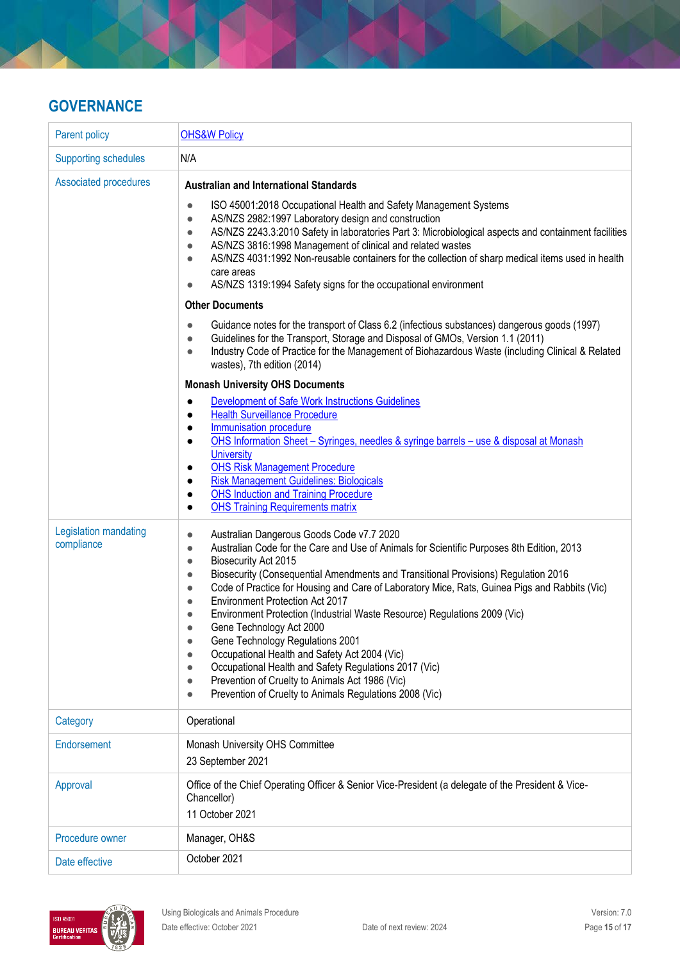# **GOVERNANCE**

| Parent policy                       | <b>OHS&amp;W Policy</b>                                                                                                                                                                                                                                                                                                                                                                                                                                                                                                                                                                                                                                                                                                                                                                                                                                                                                                                                                                                                                                                                                                                                                                                                                                                                                                                                                                                                                                                                                                                                                            |  |
|-------------------------------------|------------------------------------------------------------------------------------------------------------------------------------------------------------------------------------------------------------------------------------------------------------------------------------------------------------------------------------------------------------------------------------------------------------------------------------------------------------------------------------------------------------------------------------------------------------------------------------------------------------------------------------------------------------------------------------------------------------------------------------------------------------------------------------------------------------------------------------------------------------------------------------------------------------------------------------------------------------------------------------------------------------------------------------------------------------------------------------------------------------------------------------------------------------------------------------------------------------------------------------------------------------------------------------------------------------------------------------------------------------------------------------------------------------------------------------------------------------------------------------------------------------------------------------------------------------------------------------|--|
| <b>Supporting schedules</b>         | N/A                                                                                                                                                                                                                                                                                                                                                                                                                                                                                                                                                                                                                                                                                                                                                                                                                                                                                                                                                                                                                                                                                                                                                                                                                                                                                                                                                                                                                                                                                                                                                                                |  |
| <b>Associated procedures</b>        | <b>Australian and International Standards</b><br>ISO 45001:2018 Occupational Health and Safety Management Systems<br>$\bullet$<br>AS/NZS 2982:1997 Laboratory design and construction<br>$\bullet$<br>AS/NZS 2243.3:2010 Safety in laboratories Part 3: Microbiological aspects and containment facilities<br>$\bullet$<br>AS/NZS 3816:1998 Management of clinical and related wastes<br>$\bullet$<br>AS/NZS 4031:1992 Non-reusable containers for the collection of sharp medical items used in health<br>$\bullet$<br>care areas<br>AS/NZS 1319:1994 Safety signs for the occupational environment<br>$\bullet$<br><b>Other Documents</b><br>Guidance notes for the transport of Class 6.2 (infectious substances) dangerous goods (1997)<br>$\bullet$<br>Guidelines for the Transport, Storage and Disposal of GMOs, Version 1.1 (2011)<br>$\bullet$<br>Industry Code of Practice for the Management of Biohazardous Waste (including Clinical & Related<br>$\bullet$<br>wastes), 7th edition (2014)<br><b>Monash University OHS Documents</b><br>Development of Safe Work Instructions Guidelines<br>$\bullet$<br><b>Health Surveillance Procedure</b><br>$\bullet$<br>Immunisation procedure<br>$\bullet$<br>OHS Information Sheet - Syringes, needles & syringe barrels - use & disposal at Monash<br>$\bullet$<br><b>University</b><br><b>OHS Risk Management Procedure</b><br>$\bullet$<br><b>Risk Management Guidelines: Biologicals</b><br>$\bullet$<br><b>OHS Induction and Training Procedure</b><br>$\bullet$<br><b>OHS Training Requirements matrix</b><br>$\bullet$ |  |
| Legislation mandating<br>compliance | Australian Dangerous Goods Code v7.7 2020<br>$\bullet$<br>Australian Code for the Care and Use of Animals for Scientific Purposes 8th Edition, 2013<br>$\bullet$<br>Biosecurity Act 2015<br>$\bullet$<br>Biosecurity (Consequential Amendments and Transitional Provisions) Regulation 2016<br>$\bullet$<br>Code of Practice for Housing and Care of Laboratory Mice, Rats, Guinea Pigs and Rabbits (Vic)<br>$\bullet$<br>Environment Protection Act 2017<br>$\bullet$<br>Environment Protection (Industrial Waste Resource) Regulations 2009 (Vic)<br>$\bullet$<br>Gene Technology Act 2000<br>$\bullet$<br>Gene Technology Regulations 2001<br>$\bullet$<br>Occupational Health and Safety Act 2004 (Vic)<br>$\bullet$<br>Occupational Health and Safety Regulations 2017 (Vic)<br>$\bullet$<br>Prevention of Cruelty to Animals Act 1986 (Vic)<br>$\bullet$<br>Prevention of Cruelty to Animals Regulations 2008 (Vic)<br>$\bullet$                                                                                                                                                                                                                                                                                                                                                                                                                                                                                                                                                                                                                                             |  |
| Category                            | Operational                                                                                                                                                                                                                                                                                                                                                                                                                                                                                                                                                                                                                                                                                                                                                                                                                                                                                                                                                                                                                                                                                                                                                                                                                                                                                                                                                                                                                                                                                                                                                                        |  |
| Endorsement                         | Monash University OHS Committee<br>23 September 2021                                                                                                                                                                                                                                                                                                                                                                                                                                                                                                                                                                                                                                                                                                                                                                                                                                                                                                                                                                                                                                                                                                                                                                                                                                                                                                                                                                                                                                                                                                                               |  |
| Approval                            | Office of the Chief Operating Officer & Senior Vice-President (a delegate of the President & Vice-<br>Chancellor)<br>11 October 2021                                                                                                                                                                                                                                                                                                                                                                                                                                                                                                                                                                                                                                                                                                                                                                                                                                                                                                                                                                                                                                                                                                                                                                                                                                                                                                                                                                                                                                               |  |
| Procedure owner                     | Manager, OH&S                                                                                                                                                                                                                                                                                                                                                                                                                                                                                                                                                                                                                                                                                                                                                                                                                                                                                                                                                                                                                                                                                                                                                                                                                                                                                                                                                                                                                                                                                                                                                                      |  |
| Date effective                      | October 2021                                                                                                                                                                                                                                                                                                                                                                                                                                                                                                                                                                                                                                                                                                                                                                                                                                                                                                                                                                                                                                                                                                                                                                                                                                                                                                                                                                                                                                                                                                                                                                       |  |

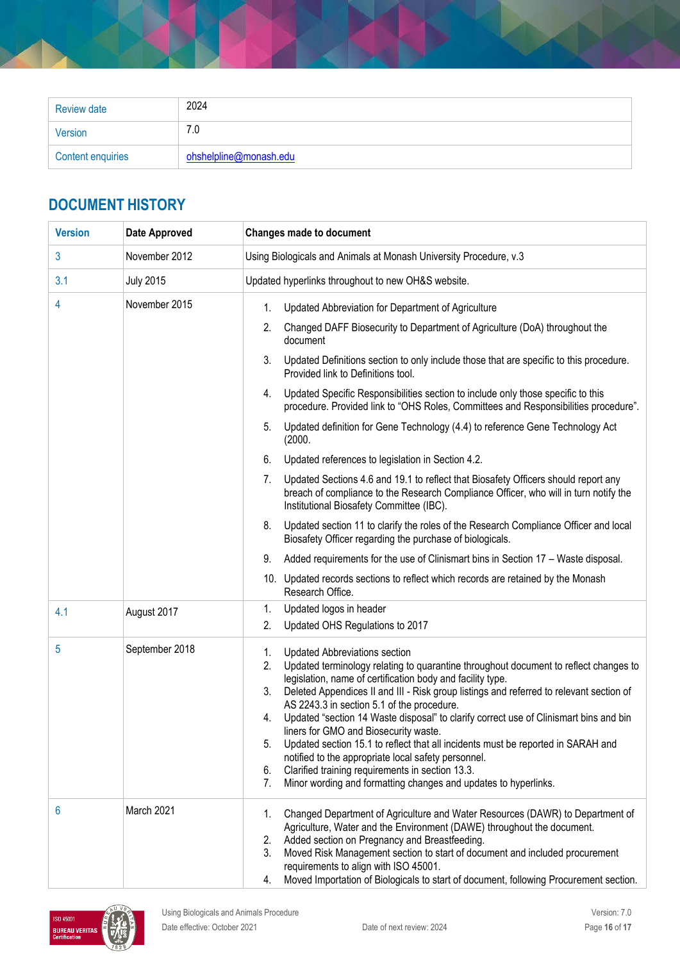| <b>Review date</b>       | 2024                   |
|--------------------------|------------------------|
| Version                  | 7.0                    |
| <b>Content enquiries</b> | ohshelpline@monash.edu |

# **DOCUMENT HISTORY**

| <b>Version</b> | <b>Date Approved</b> | <b>Changes made to document</b>                                                                                                                                                                                                                                                                                                                                                                                                                                                                                                                                                                                                                                                                                                                                                   |
|----------------|----------------------|-----------------------------------------------------------------------------------------------------------------------------------------------------------------------------------------------------------------------------------------------------------------------------------------------------------------------------------------------------------------------------------------------------------------------------------------------------------------------------------------------------------------------------------------------------------------------------------------------------------------------------------------------------------------------------------------------------------------------------------------------------------------------------------|
| 3              | November 2012        | Using Biologicals and Animals at Monash University Procedure, v.3                                                                                                                                                                                                                                                                                                                                                                                                                                                                                                                                                                                                                                                                                                                 |
| 3.1            | <b>July 2015</b>     | Updated hyperlinks throughout to new OH&S website.                                                                                                                                                                                                                                                                                                                                                                                                                                                                                                                                                                                                                                                                                                                                |
| 4              | November 2015        | Updated Abbreviation for Department of Agriculture<br>1.                                                                                                                                                                                                                                                                                                                                                                                                                                                                                                                                                                                                                                                                                                                          |
|                |                      | Changed DAFF Biosecurity to Department of Agriculture (DoA) throughout the<br>2.<br>document                                                                                                                                                                                                                                                                                                                                                                                                                                                                                                                                                                                                                                                                                      |
|                |                      | 3.<br>Updated Definitions section to only include those that are specific to this procedure.<br>Provided link to Definitions tool.                                                                                                                                                                                                                                                                                                                                                                                                                                                                                                                                                                                                                                                |
|                |                      | Updated Specific Responsibilities section to include only those specific to this<br>4.<br>procedure. Provided link to "OHS Roles, Committees and Responsibilities procedure".                                                                                                                                                                                                                                                                                                                                                                                                                                                                                                                                                                                                     |
|                |                      | Updated definition for Gene Technology (4.4) to reference Gene Technology Act<br>5.<br>(2000.                                                                                                                                                                                                                                                                                                                                                                                                                                                                                                                                                                                                                                                                                     |
|                |                      | Updated references to legislation in Section 4.2.<br>6.                                                                                                                                                                                                                                                                                                                                                                                                                                                                                                                                                                                                                                                                                                                           |
|                |                      | Updated Sections 4.6 and 19.1 to reflect that Biosafety Officers should report any<br>7.<br>breach of compliance to the Research Compliance Officer, who will in turn notify the<br>Institutional Biosafety Committee (IBC).                                                                                                                                                                                                                                                                                                                                                                                                                                                                                                                                                      |
|                |                      | 8.<br>Updated section 11 to clarify the roles of the Research Compliance Officer and local<br>Biosafety Officer regarding the purchase of biologicals.                                                                                                                                                                                                                                                                                                                                                                                                                                                                                                                                                                                                                            |
|                |                      | Added requirements for the use of Clinismart bins in Section 17 - Waste disposal.<br>9.                                                                                                                                                                                                                                                                                                                                                                                                                                                                                                                                                                                                                                                                                           |
|                |                      | 10. Updated records sections to reflect which records are retained by the Monash<br>Research Office.                                                                                                                                                                                                                                                                                                                                                                                                                                                                                                                                                                                                                                                                              |
| 4.1            | August 2017          | Updated logos in header<br>1.                                                                                                                                                                                                                                                                                                                                                                                                                                                                                                                                                                                                                                                                                                                                                     |
|                |                      | Updated OHS Regulations to 2017<br>2.                                                                                                                                                                                                                                                                                                                                                                                                                                                                                                                                                                                                                                                                                                                                             |
| 5              | September 2018       | 1.<br><b>Updated Abbreviations section</b><br>Updated terminology relating to quarantine throughout document to reflect changes to<br>2.<br>legislation, name of certification body and facility type.<br>Deleted Appendices II and III - Risk group listings and referred to relevant section of<br>3.<br>AS 2243.3 in section 5.1 of the procedure.<br>Updated "section 14 Waste disposal" to clarify correct use of Clinismart bins and bin<br>4.<br>liners for GMO and Biosecurity waste.<br>Updated section 15.1 to reflect that all incidents must be reported in SARAH and<br>5.<br>notified to the appropriate local safety personnel.<br>Clarified training requirements in section 13.3.<br>6.<br>Minor wording and formatting changes and updates to hyperlinks.<br>7. |
| 6              | March 2021           | Changed Department of Agriculture and Water Resources (DAWR) to Department of<br>1.<br>Agriculture, Water and the Environment (DAWE) throughout the document.<br>Added section on Pregnancy and Breastfeeding.<br>2.<br>Moved Risk Management section to start of document and included procurement<br>3.<br>requirements to align with ISO 45001.<br>Moved Importation of Biologicals to start of document, following Procurement section.<br>4.                                                                                                                                                                                                                                                                                                                                 |